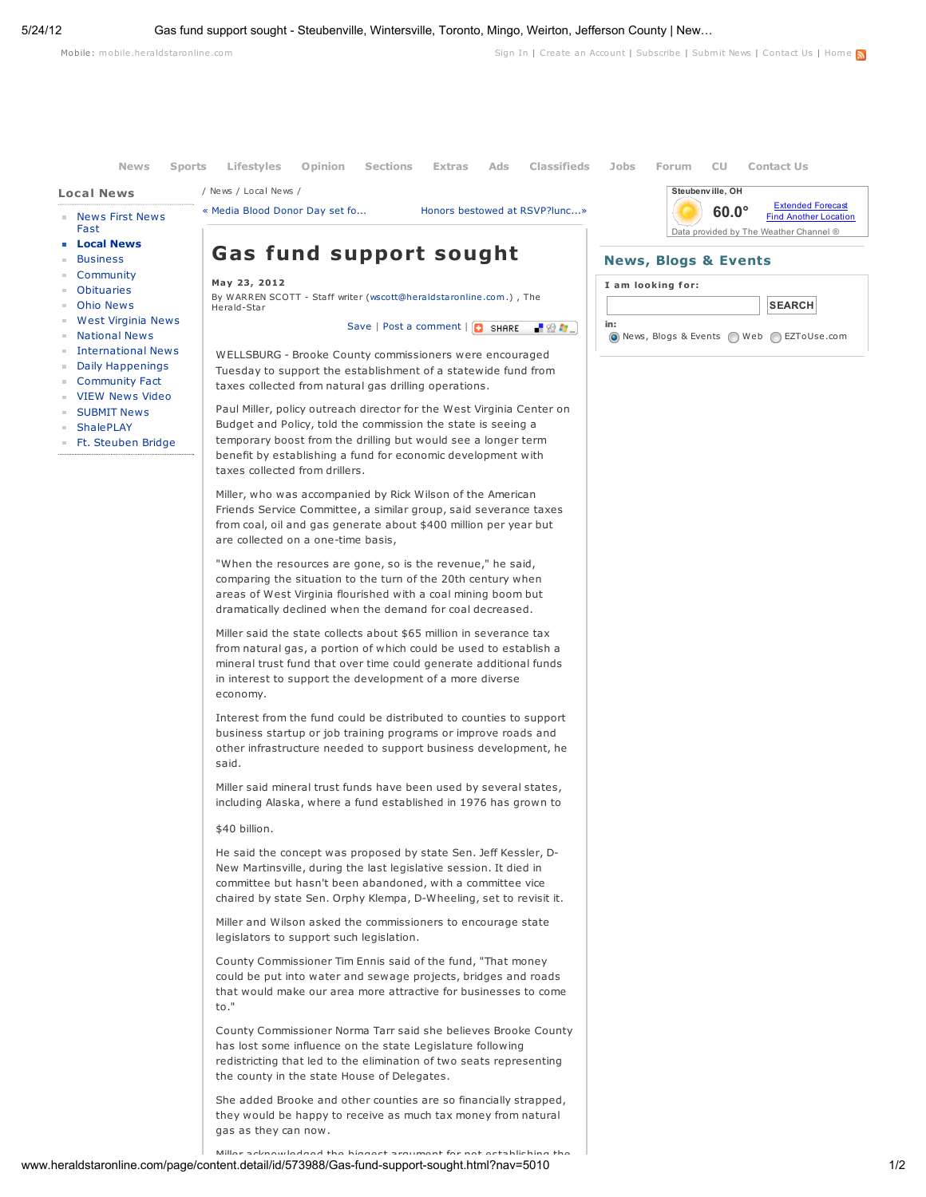Mobile: mobile.heraldstaronline.com

Sign In | Create an Account | Subscribe | Submit News | Contact Us | Home

Local News

/ News / Local News /

- News First News Fast
- Local News
- Business
- Community
- Obituaries
- Ohio News
- West Virginia News
- National News
- International News
- 
- Daily Happenings
- Community Fact
- VIEW News Video
- **SUBMIT News**
- ShalePLAY
- Ft. Steuben Bridge



May 23, 2012 By WARREN SCOTT - Staff writer (wscott@heraldstaronline.com.) , The Herald-Star

« Media Blood Donor Day set fo... Honors bestowed at RSVP?lunc...»

Save | Post a comment | **Q** SHARE |  $\frac{1}{2}$  SH

News Sports Lifestyles Opinion Sections Extras Ads Classifieds Jobs Forum CU Contact Us

WELLSBURG - Brooke County commissioners were encouraged Tuesday to support the establishment of a statewide fund from

taxes collected from natural gas drilling operations.

Paul Miller, policy outreach director for the West Virginia Center on Budget and Policy, told the commission the state is seeing a temporary boost from the drilling but would see a longer term benefit by establishing a fund for economic development with taxes collected from drillers.

Miller, who was accompanied by Rick Wilson of the American Friends Service Committee, a similar group, said severance taxes from coal, oil and gas generate about \$400 million per year but are collected on a one-time basis,

"When the resources are gone, so is the revenue," he said, comparing the situation to the turn of the 20th century when areas of West Virginia flourished with a coal mining boom but dramatically declined when the demand for coal decreased.

Miller said the state collects about \$65 million in severance tax from natural gas, a portion of which could be used to establish a mineral trust fund that over time could generate additional funds in interest to support the development of a more diverse economy.

Interest from the fund could be distributed to counties to support business startup or job training programs or improve roads and other infrastructure needed to support business development, he said.

Miller said mineral trust funds have been used by several states, including Alaska, where a fund established in 1976 has grown to

\$40 billion.

He said the concept was proposed by state Sen. Jeff Kessler, D-New Martinsville, during the last legislative session. It died in committee but hasn't been abandoned, with a committee vice chaired by state Sen. Orphy Klempa, D-Wheeling, set to revisit it.

Miller and Wilson asked the commissioners to encourage state legislators to support such legislation.

County Commissioner Tim Ennis said of the fund, "That money could be put into water and sewage projects, bridges and roads that would make our area more attractive for businesses to come to."

County Commissioner Norma Tarr said she believes Brooke County has lost some influence on the state Legislature following redistricting that led to the elimination of two seats representing the county in the state House of Delegates.

She added Brooke and other counties are so financially strapped, they would be happy to receive as much tax money from natural gas as they can now.

## Steubenville, OH 60.0° Extended Forecast Find Another Location Data provided by The Weather Channel ®

## News, Blogs & Events



www.heraldstaronline.com/page/content.detail/id/573988/Gas-fund-support-sought.html?nav=5010 1/2 Miller acknowledged the biggest argument for not establishing the